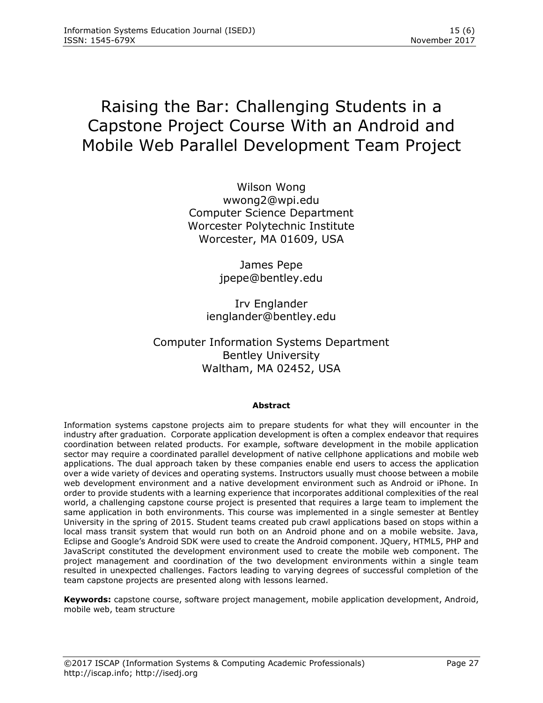# Raising the Bar: Challenging Students in a Capstone Project Course With an Android and Mobile Web Parallel Development Team Project

Wilson Wong wwong2@wpi.edu Computer Science Department Worcester Polytechnic Institute Worcester, MA 01609, USA

> James Pepe jpepe@bentley.edu

Irv Englander ienglander@bentley.edu

Computer Information Systems Department Bentley University Waltham, MA 02452, USA

## **Abstract**

Information systems capstone projects aim to prepare students for what they will encounter in the industry after graduation. Corporate application development is often a complex endeavor that requires coordination between related products. For example, software development in the mobile application sector may require a coordinated parallel development of native cellphone applications and mobile web applications. The dual approach taken by these companies enable end users to access the application over a wide variety of devices and operating systems. Instructors usually must choose between a mobile web development environment and a native development environment such as Android or iPhone. In order to provide students with a learning experience that incorporates additional complexities of the real world, a challenging capstone course project is presented that requires a large team to implement the same application in both environments. This course was implemented in a single semester at Bentley University in the spring of 2015. Student teams created pub crawl applications based on stops within a local mass transit system that would run both on an Android phone and on a mobile website. Java, Eclipse and Google's Android SDK were used to create the Android component. JQuery, HTML5, PHP and JavaScript constituted the development environment used to create the mobile web component. The project management and coordination of the two development environments within a single team resulted in unexpected challenges. Factors leading to varying degrees of successful completion of the team capstone projects are presented along with lessons learned.

**Keywords:** capstone course, software project management, mobile application development, Android, mobile web, team structure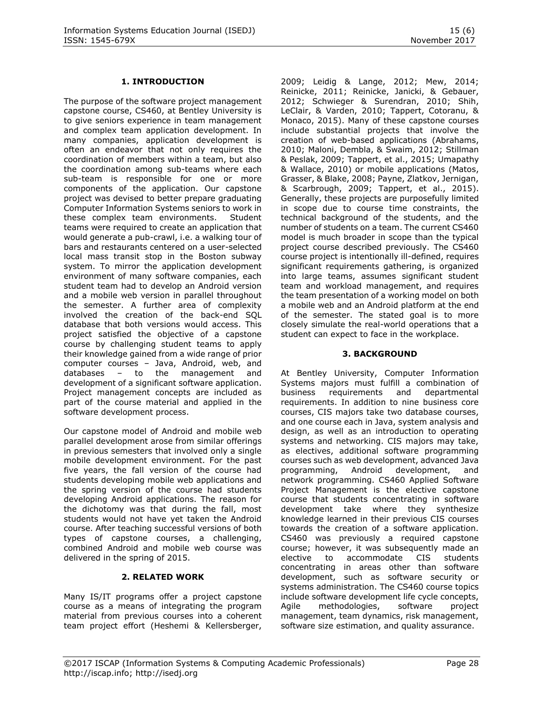## **1. INTRODUCTION**

The purpose of the software project management capstone course, CS460, at Bentley University is to give seniors experience in team management and complex team application development. In many companies, application development is often an endeavor that not only requires the coordination of members within a team, but also the coordination among sub-teams where each sub-team is responsible for one or more components of the application. Our capstone project was devised to better prepare graduating Computer Information Systems seniors to work in these complex team environments. Student teams were required to create an application that would generate a pub-crawl, i.e. a walking tour of bars and restaurants centered on a user-selected local mass transit stop in the Boston subway system. To mirror the application development environment of many software companies, each student team had to develop an Android version and a mobile web version in parallel throughout the semester. A further area of complexity involved the creation of the back-end SQL database that both versions would access. This project satisfied the objective of a capstone course by challenging student teams to apply their knowledge gained from a wide range of prior computer courses – Java, Android, web, and databases – to the management and development of a significant software application. Project management concepts are included as part of the course material and applied in the software development process.

Our capstone model of Android and mobile web parallel development arose from similar offerings in previous semesters that involved only a single mobile development environment. For the past five years, the fall version of the course had students developing mobile web applications and the spring version of the course had students developing Android applications. The reason for the dichotomy was that during the fall, most students would not have yet taken the Android course. After teaching successful versions of both types of capstone courses, a challenging, combined Android and mobile web course was delivered in the spring of 2015.

#### **2. RELATED WORK**

Many IS/IT programs offer a project capstone course as a means of integrating the program material from previous courses into a coherent team project effort [\(Heshemi & Kellersberger,](#page-7-0) 

[2009;](#page-7-0) [Leidig & Lange, 2012;](#page-7-1) [Mew, 2014;](#page-7-2) [Reinicke, 2011;](#page-7-3) [Reinicke, Janicki, & Gebauer,](#page-7-4)  [2012;](#page-7-4) [Schwieger & Surendran, 2010;](#page-7-5) [Shih,](#page-7-6)  [LeClair, & Varden, 2010;](#page-7-6) [Tappert, Cotoranu, &](#page-7-7)  [Monaco, 2015\)](#page-7-7). Many of these capstone courses include substantial projects that involve the creation of web-based applications [\(Abrahams,](#page-7-8)  [2010;](#page-7-8) [Maloni, Dembla, & Swaim, 2012;](#page-7-9) [Stillman](#page-7-10)  [& Peslak, 2009;](#page-7-10) [Tappert, et al., 2015;](#page-7-7) [Umapathy](#page-8-0)  [& Wallace, 2010\)](#page-8-0) or mobile applications [\(Matos,](#page-7-11)  [Grasser, & Blake, 2008;](#page-7-11) [Payne, Zlatkov, Jernigan,](#page-7-12)  [& Scarbrough, 2009;](#page-7-12) [Tappert, et al., 2015\)](#page-7-7). Generally, these projects are purposefully limited in scope due to course time constraints, the technical background of the students, and the number of students on a team. The current CS460 model is much broader in scope than the typical project course described previously. The CS460 course project is intentionally ill-defined, requires significant requirements gathering, is organized into large teams, assumes significant student team and workload management, and requires the team presentation of a working model on both a mobile web and an Android platform at the end of the semester. The stated goal is to more closely simulate the real-world operations that a student can expect to face in the workplace.

#### **3. BACKGROUND**

At Bentley University, Computer Information Systems majors must fulfill a combination of business requirements and departmental requirements. In addition to nine business core courses, CIS majors take two database courses, and one course each in Java, system analysis and design, as well as an introduction to operating systems and networking. CIS majors may take, as electives, additional software programming courses such as web development, advanced Java programming, Android development, and network programming. CS460 Applied Software Project Management is the elective capstone course that students concentrating in software development take where they synthesize knowledge learned in their previous CIS courses towards the creation of a software application. CS460 was previously a required capstone course; however, it was subsequently made an elective to accommodate CIS students concentrating in areas other than software development, such as software security or systems administration. The CS460 course topics include software development life cycle concepts, Agile methodologies, software project management, team dynamics, risk management, software size estimation, and quality assurance.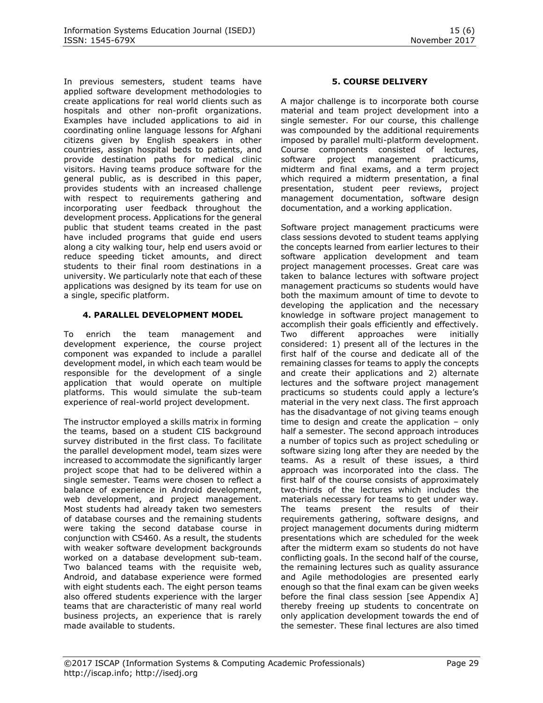In previous semesters, student teams have applied software development methodologies to create applications for real world clients such as hospitals and other non-profit organizations. Examples have included applications to aid in coordinating online language lessons for Afghani citizens given by English speakers in other countries, assign hospital beds to patients, and provide destination paths for medical clinic visitors. Having teams produce software for the general public, as is described in this paper, provides students with an increased challenge with respect to requirements gathering and incorporating user feedback throughout the development process. Applications for the general public that student teams created in the past have included programs that guide end users along a city walking tour, help end users avoid or reduce speeding ticket amounts, and direct students to their final room destinations in a university. We particularly note that each of these applications was designed by its team for use on a single, specific platform.

## **4. PARALLEL DEVELOPMENT MODEL**

To enrich the team management and development experience, the course project component was expanded to include a parallel development model, in which each team would be responsible for the development of a single application that would operate on multiple platforms. This would simulate the sub-team experience of real-world project development.

The instructor employed a skills matrix in forming the teams, based on a student CIS background survey distributed in the first class. To facilitate the parallel development model, team sizes were increased to accommodate the significantly larger project scope that had to be delivered within a single semester. Teams were chosen to reflect a balance of experience in Android development, web development, and project management. Most students had already taken two semesters of database courses and the remaining students were taking the second database course in conjunction with CS460. As a result, the students with weaker software development backgrounds worked on a database development sub-team. Two balanced teams with the requisite web, Android, and database experience were formed with eight students each. The eight person teams also offered students experience with the larger teams that are characteristic of many real world business projects, an experience that is rarely made available to students.

## **5. COURSE DELIVERY**

A major challenge is to incorporate both course material and team project development into a single semester. For our course, this challenge was compounded by the additional requirements imposed by parallel multi-platform development. Course components consisted of lectures, software project management practicums, midterm and final exams, and a term project which required a midterm presentation, a final presentation, student peer reviews, project management documentation, software design documentation, and a working application.

Software project management practicums were class sessions devoted to student teams applying the concepts learned from earlier lectures to their software application development and team project management processes. Great care was taken to balance lectures with software project management practicums so students would have both the maximum amount of time to devote to developing the application and the necessary knowledge in software project management to accomplish their goals efficiently and effectively. Two different approaches were initially considered: 1) present all of the lectures in the first half of the course and dedicate all of the remaining classes for teams to apply the concepts and create their applications and 2) alternate lectures and the software project management practicums so students could apply a lecture's material in the very next class. The first approach has the disadvantage of not giving teams enough time to design and create the application  $-$  only half a semester. The second approach introduces a number of topics such as project scheduling or software sizing long after they are needed by the teams. As a result of these issues, a third approach was incorporated into the class. The first half of the course consists of approximately two-thirds of the lectures which includes the materials necessary for teams to get under way. The teams present the results of their requirements gathering, software designs, and project management documents during midterm presentations which are scheduled for the week after the midterm exam so students do not have conflicting goals. In the second half of the course, the remaining lectures such as quality assurance and Agile methodologies are presented early enough so that the final exam can be given weeks before the final class session [see Appendix A] thereby freeing up students to concentrate on only application development towards the end of the semester. These final lectures are also timed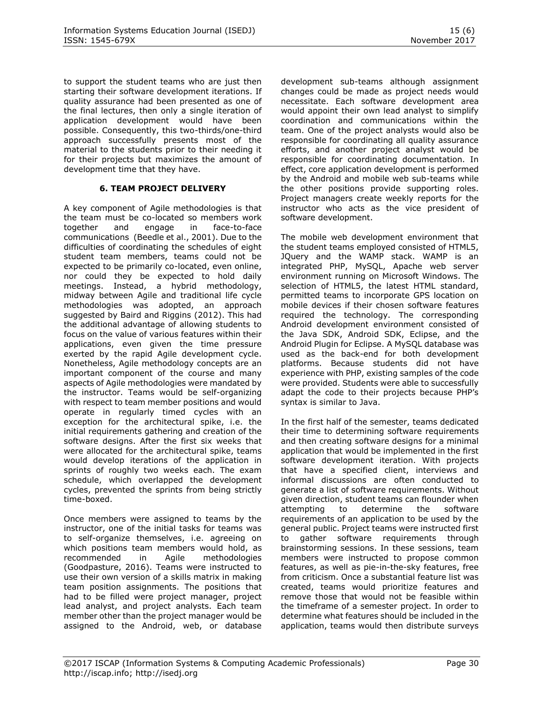to support the student teams who are just then starting their software development iterations. If quality assurance had been presented as one of the final lectures, then only a single iteration of application development would have been possible. Consequently, this two-thirds/one-third approach successfully presents most of the material to the students prior to their needing it for their projects but maximizes the amount of development time that they have.

## **6. TEAM PROJECT DELIVERY**

A key component of Agile methodologies is that the team must be co-located so members work together and engage in face-to-face communications [\(Beedle et al., 2001\)](#page-7-13). Due to the difficulties of coordinating the schedules of eight student team members, teams could not be expected to be primarily co-located, even online, nor could they be expected to hold daily meetings. Instead, a hybrid methodology, midway between Agile and traditional life cycle methodologies was adopted, an approach suggested by Baird and Riggins [\(2012\)](#page-7-14). This had the additional advantage of allowing students to focus on the value of various features within their applications, even given the time pressure exerted by the rapid Agile development cycle. Nonetheless, Agile methodology concepts are an important component of the course and many aspects of Agile methodologies were mandated by the instructor. Teams would be self-organizing with respect to team member positions and would operate in regularly timed cycles with an exception for the architectural spike, i.e. the initial requirements gathering and creation of the software designs. After the first six weeks that were allocated for the architectural spike, teams would develop iterations of the application in sprints of roughly two weeks each. The exam schedule, which overlapped the development cycles, prevented the sprints from being strictly time-boxed.

Once members were assigned to teams by the instructor, one of the initial tasks for teams was to self-organize themselves, i.e. agreeing on which positions team members would hold, as recommended in Agile methodologies [\(Goodpasture, 2016\)](#page-7-15). Teams were instructed to use their own version of a skills matrix in making team position assignments. The positions that had to be filled were project manager, project lead analyst, and project analysts. Each team member other than the project manager would be assigned to the Android, web, or database

development sub-teams although assignment changes could be made as project needs would necessitate. Each software development area would appoint their own lead analyst to simplify coordination and communications within the team. One of the project analysts would also be responsible for coordinating all quality assurance efforts, and another project analyst would be responsible for coordinating documentation. In effect, core application development is performed by the Android and mobile web sub-teams while the other positions provide supporting roles. Project managers create weekly reports for the instructor who acts as the vice president of software development.

The mobile web development environment that the student teams employed consisted of HTML5, JQuery and the WAMP stack. WAMP is an integrated PHP, MySQL, Apache web server environment running on Microsoft Windows. The selection of HTML5, the latest HTML standard, permitted teams to incorporate GPS location on mobile devices if their chosen software features required the technology. The corresponding Android development environment consisted of the Java SDK, Android SDK, Eclipse, and the Android Plugin for Eclipse. A MySQL database was used as the back-end for both development platforms. Because students did not have experience with PHP, existing samples of the code were provided. Students were able to successfully adapt the code to their projects because PHP's syntax is similar to Java.

In the first half of the semester, teams dedicated their time to determining software requirements and then creating software designs for a minimal application that would be implemented in the first software development iteration. With projects that have a specified client, interviews and informal discussions are often conducted to generate a list of software requirements. Without given direction, student teams can flounder when attempting to determine the software requirements of an application to be used by the general public. Project teams were instructed first to gather software requirements through brainstorming sessions. In these sessions, team members were instructed to propose common features, as well as pie-in-the-sky features, free from criticism. Once a substantial feature list was created, teams would prioritize features and remove those that would not be feasible within the timeframe of a semester project. In order to determine what features should be included in the application, teams would then distribute surveys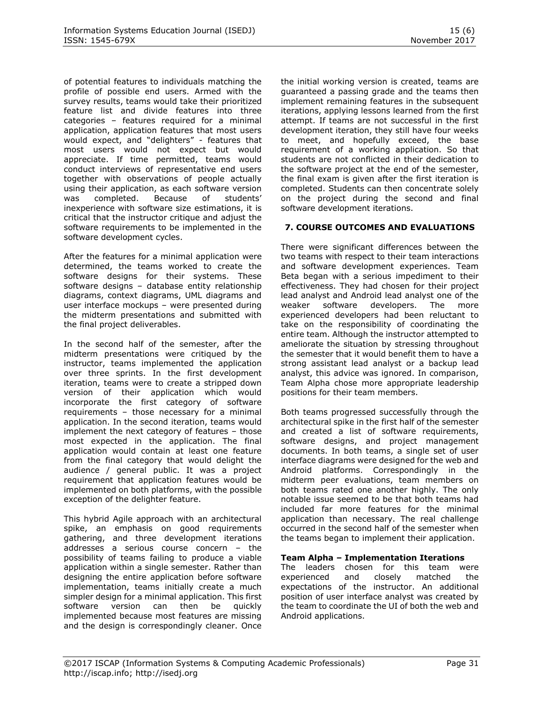of potential features to individuals matching the profile of possible end users. Armed with the survey results, teams would take their prioritized feature list and divide features into three categories – features required for a minimal application, application features that most users would expect, and "delighters" - features that most users would not expect but would appreciate. If time permitted, teams would conduct interviews of representative end users together with observations of people actually using their application, as each software version was completed. Because of students' inexperience with software size estimations, it is critical that the instructor critique and adjust the software requirements to be implemented in the software development cycles.

After the features for a minimal application were determined, the teams worked to create the software designs for their systems. These software designs – database entity relationship diagrams, context diagrams, UML diagrams and user interface mockups – were presented during the midterm presentations and submitted with the final project deliverables.

In the second half of the semester, after the midterm presentations were critiqued by the instructor, teams implemented the application over three sprints. In the first development iteration, teams were to create a stripped down version of their application which would incorporate the first category of software requirements – those necessary for a minimal application. In the second iteration, teams would implement the next category of features – those most expected in the application. The final application would contain at least one feature from the final category that would delight the audience / general public. It was a project requirement that application features would be implemented on both platforms, with the possible exception of the delighter feature.

This hybrid Agile approach with an architectural spike, an emphasis on good requirements gathering, and three development iterations addresses a serious course concern – the possibility of teams failing to produce a viable application within a single semester. Rather than designing the entire application before software implementation, teams initially create a much simpler design for a minimal application. This first software version can then be quickly implemented because most features are missing and the design is correspondingly cleaner. Once the initial working version is created, teams are guaranteed a passing grade and the teams then implement remaining features in the subsequent iterations, applying lessons learned from the first attempt. If teams are not successful in the first development iteration, they still have four weeks to meet, and hopefully exceed, the base requirement of a working application. So that students are not conflicted in their dedication to the software project at the end of the semester, the final exam is given after the first iteration is completed. Students can then concentrate solely on the project during the second and final software development iterations.

## **7. COURSE OUTCOMES AND EVALUATIONS**

There were significant differences between the two teams with respect to their team interactions and software development experiences. Team Beta began with a serious impediment to their effectiveness. They had chosen for their project lead analyst and Android lead analyst one of the weaker software developers. The more experienced developers had been reluctant to take on the responsibility of coordinating the entire team. Although the instructor attempted to ameliorate the situation by stressing throughout the semester that it would benefit them to have a strong assistant lead analyst or a backup lead analyst, this advice was ignored. In comparison, Team Alpha chose more appropriate leadership positions for their team members.

Both teams progressed successfully through the architectural spike in the first half of the semester and created a list of software requirements, software designs, and project management documents. In both teams, a single set of user interface diagrams were designed for the web and Android platforms. Correspondingly in the midterm peer evaluations, team members on both teams rated one another highly. The only notable issue seemed to be that both teams had included far more features for the minimal application than necessary. The real challenge occurred in the second half of the semester when the teams began to implement their application.

#### **Team Alpha – Implementation Iterations**

The leaders chosen for this team were experienced and closely matched the expectations of the instructor. An additional position of user interface analyst was created by the team to coordinate the UI of both the web and Android applications.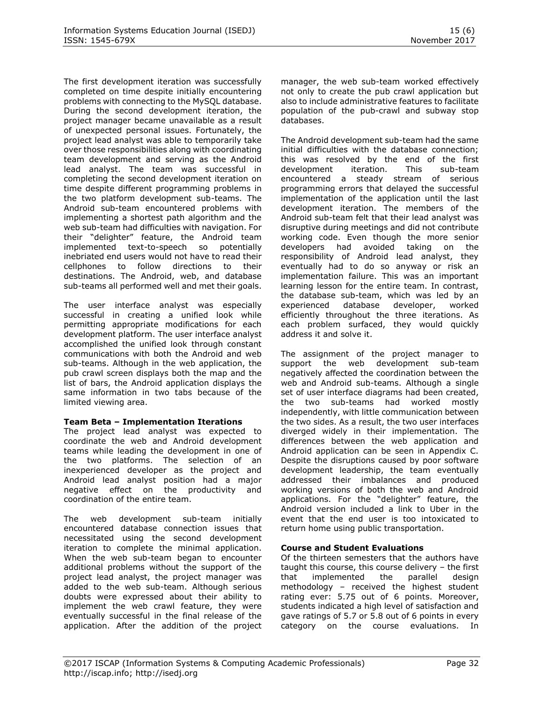The first development iteration was successfully completed on time despite initially encountering problems with connecting to the MySQL database. During the second development iteration, the project manager became unavailable as a result of unexpected personal issues. Fortunately, the project lead analyst was able to temporarily take over those responsibilities along with coordinating team development and serving as the Android lead analyst. The team was successful in completing the second development iteration on time despite different programming problems in the two platform development sub-teams. The Android sub-team encountered problems with implementing a shortest path algorithm and the web sub-team had difficulties with navigation. For their "delighter" feature, the Android team implemented text-to-speech so potentially inebriated end users would not have to read their cellphones to follow directions to their destinations. The Android, web, and database sub-teams all performed well and met their goals.

The user interface analyst was especially successful in creating a unified look while permitting appropriate modifications for each development platform. The user interface analyst accomplished the unified look through constant communications with both the Android and web sub-teams. Although in the web application, the pub crawl screen displays both the map and the list of bars, the Android application displays the same information in two tabs because of the limited viewing area.

#### **Team Beta – Implementation Iterations**

The project lead analyst was expected to coordinate the web and Android development teams while leading the development in one of the two platforms. The selection of an inexperienced developer as the project and Android lead analyst position had a major negative effect on the productivity and coordination of the entire team.

The web development sub-team initially encountered database connection issues that necessitated using the second development iteration to complete the minimal application. When the web sub-team began to encounter additional problems without the support of the project lead analyst, the project manager was added to the web sub-team. Although serious doubts were expressed about their ability to implement the web crawl feature, they were eventually successful in the final release of the application. After the addition of the project

manager, the web sub-team worked effectively not only to create the pub crawl application but also to include administrative features to facilitate population of the pub-crawl and subway stop databases.

The Android development sub-team had the same initial difficulties with the database connection; this was resolved by the end of the first development iteration. This sub-team encountered a steady stream of serious programming errors that delayed the successful implementation of the application until the last development iteration. The members of the Android sub-team felt that their lead analyst was disruptive during meetings and did not contribute working code. Even though the more senior developers had avoided taking on the responsibility of Android lead analyst, they eventually had to do so anyway or risk an implementation failure. This was an important learning lesson for the entire team. In contrast, the database sub-team, which was led by an experienced database developer, worked efficiently throughout the three iterations. As each problem surfaced, they would quickly address it and solve it.

The assignment of the project manager to support the web development sub-team negatively affected the coordination between the web and Android sub-teams. Although a single set of user interface diagrams had been created, the two sub-teams had worked mostly independently, with little communication between the two sides. As a result, the two user interfaces diverged widely in their implementation. The differences between the web application and Android application can be seen in Appendix C. Despite the disruptions caused by poor software development leadership, the team eventually addressed their imbalances and produced working versions of both the web and Android applications. For the "delighter" feature, the Android version included a link to Uber in the event that the end user is too intoxicated to return home using public transportation.

## **Course and Student Evaluations**

Of the thirteen semesters that the authors have taught this course, this course delivery – the first that implemented the parallel design methodology – received the highest student rating ever: 5.75 out of 6 points. Moreover, students indicated a high level of satisfaction and gave ratings of 5.7 or 5.8 out of 6 points in every category on the course evaluations. In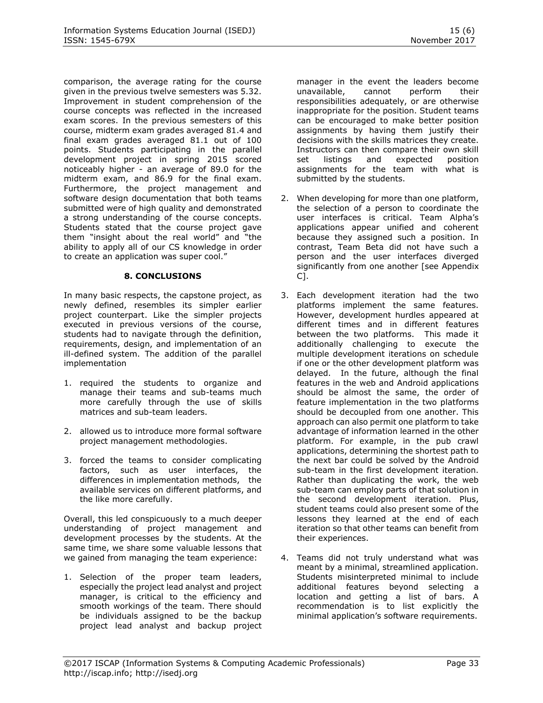comparison, the average rating for the course given in the previous twelve semesters was 5.32. Improvement in student comprehension of the course concepts was reflected in the increased exam scores. In the previous semesters of this course, midterm exam grades averaged 81.4 and final exam grades averaged 81.1 out of 100 points. Students participating in the parallel development project in spring 2015 scored noticeably higher - an average of 89.0 for the midterm exam, and 86.9 for the final exam. Furthermore, the project management and software design documentation that both teams submitted were of high quality and demonstrated a strong understanding of the course concepts. Students stated that the course project gave them "insight about the real world" and "the ability to apply all of our CS knowledge in order to create an application was super cool."

## **8. CONCLUSIONS**

In many basic respects, the capstone project, as newly defined, resembles its simpler earlier project counterpart. Like the simpler projects executed in previous versions of the course, students had to navigate through the definition, requirements, design, and implementation of an ill-defined system. The addition of the parallel implementation

- 1. required the students to organize and manage their teams and sub-teams much more carefully through the use of skills matrices and sub-team leaders.
- 2. allowed us to introduce more formal software project management methodologies.
- 3. forced the teams to consider complicating factors, such as user interfaces, the differences in implementation methods, the available services on different platforms, and the like more carefully.

Overall, this led conspicuously to a much deeper understanding of project management and development processes by the students. At the same time, we share some valuable lessons that we gained from managing the team experience:

1. Selection of the proper team leaders, especially the project lead analyst and project manager, is critical to the efficiency and smooth workings of the team. There should be individuals assigned to be the backup project lead analyst and backup project manager in the event the leaders become unavailable, cannot perform their responsibilities adequately, or are otherwise inappropriate for the position. Student teams can be encouraged to make better position assignments by having them justify their decisions with the skills matrices they create. Instructors can then compare their own skill set listings and expected position assignments for the team with what is submitted by the students.

- 2. When developing for more than one platform, the selection of a person to coordinate the user interfaces is critical. Team Alpha's applications appear unified and coherent because they assigned such a position. In contrast, Team Beta did not have such a person and the user interfaces diverged significantly from one another [see Appendix C].
- 3. Each development iteration had the two platforms implement the same features. However, development hurdles appeared at different times and in different features between the two platforms. This made it additionally challenging to execute the multiple development iterations on schedule if one or the other development platform was delayed. In the future, although the final features in the web and Android applications should be almost the same, the order of feature implementation in the two platforms should be decoupled from one another. This approach can also permit one platform to take advantage of information learned in the other platform. For example, in the pub crawl applications, determining the shortest path to the next bar could be solved by the Android sub-team in the first development iteration. Rather than duplicating the work, the web sub-team can employ parts of that solution in the second development iteration. Plus, student teams could also present some of the lessons they learned at the end of each iteration so that other teams can benefit from their experiences.
- 4. Teams did not truly understand what was meant by a minimal, streamlined application. Students misinterpreted minimal to include additional features beyond selecting a location and getting a list of bars. A recommendation is to list explicitly the minimal application's software requirements.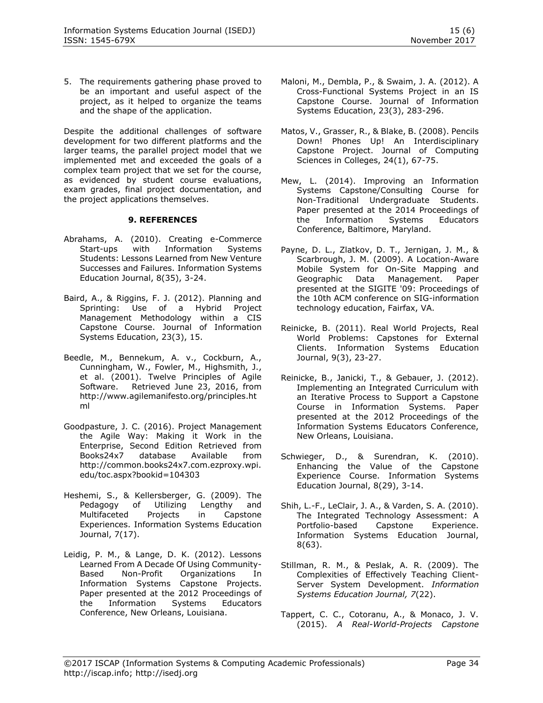5. The requirements gathering phase proved to be an important and useful aspect of the project, as it helped to organize the teams and the shape of the application.

Despite the additional challenges of software development for two different platforms and the larger teams, the parallel project model that we implemented met and exceeded the goals of a complex team project that we set for the course, as evidenced by student course evaluations, exam grades, final project documentation, and the project applications themselves.

## **9. REFERENCES**

- <span id="page-7-8"></span>Abrahams, A. (2010). Creating e-Commerce Start-ups with Information Systems Students: Lessons Learned from New Venture Successes and Failures. Information Systems Education Journal, 8(35), 3-24.
- <span id="page-7-14"></span>Baird, A., & Riggins, F. J. (2012). Planning and Sprinting: Use of a Hybrid Project Management Methodology within a CIS Capstone Course. Journal of Information Systems Education, 23(3), 15.
- <span id="page-7-13"></span>Beedle, M., Bennekum, A. v., Cockburn, A., Cunningham, W., Fowler, M., Highsmith, J., et al. (2001). Twelve Principles of Agile Software. Retrieved June 23, 2016, from [http://www.agilemanifesto.org/principles.ht](http://www.agilemanifesto.org/principles.html) [ml](http://www.agilemanifesto.org/principles.html)
- <span id="page-7-15"></span>Goodpasture, J. C. (2016). Project Management the Agile Way: Making it Work in the Enterprise, Second Edition Retrieved from Books24x7 database Available from [http://common.books24x7.com.ezproxy.wpi.](http://common.books24x7.com.ezproxy.wpi.edu/toc.aspx?bookid=104303) [edu/toc.aspx?bookid=104303](http://common.books24x7.com.ezproxy.wpi.edu/toc.aspx?bookid=104303)
- <span id="page-7-0"></span>Heshemi, S., & Kellersberger, G. (2009). The Pedagogy of Utilizing Lengthy and Multifaceted Projects in Capstone Experiences. Information Systems Education Journal, 7(17).
- <span id="page-7-1"></span>Leidig, P. M., & Lange, D. K. (2012). Lessons Learned From A Decade Of Using Community-Based Non-Profit Organizations In Information Systems Capstone Projects. Paper presented at the 2012 Proceedings of the Information Systems Educators Conference, New Orleans, Louisiana.
- <span id="page-7-9"></span>Maloni, M., Dembla, P., & Swaim, J. A. (2012). A Cross-Functional Systems Project in an IS Capstone Course. Journal of Information Systems Education, 23(3), 283-296.
- <span id="page-7-11"></span>Matos, V., Grasser, R., & Blake, B. (2008). Pencils Down! Phones Up! An Interdisciplinary Capstone Project. Journal of Computing Sciences in Colleges, 24(1), 67-75.
- <span id="page-7-2"></span>Mew, L. (2014). Improving an Information Systems Capstone/Consulting Course for Non-Traditional Undergraduate Students. Paper presented at the 2014 Proceedings of the Information Systems Educators Conference, Baltimore, Maryland.
- <span id="page-7-12"></span>Payne, D. L., Zlatkov, D. T., Jernigan, J. M., & Scarbrough, J. M. (2009). A Location-Aware Mobile System for On-Site Mapping and Geographic Data Management. Paper presented at the SIGITE '09: Proceedings of the 10th ACM conference on SIG-information technology education, Fairfax, VA.
- <span id="page-7-3"></span>Reinicke, B. (2011). Real World Projects, Real World Problems: Capstones for External Clients. Information Systems Education Journal, 9(3), 23-27.
- <span id="page-7-4"></span>Reinicke, B., Janicki, T., & Gebauer, J. (2012). Implementing an Integrated Curriculum with an Iterative Process to Support a Capstone Course in Information Systems. Paper presented at the 2012 Proceedings of the Information Systems Educators Conference, New Orleans, Louisiana.
- <span id="page-7-5"></span>Schwieger, D., & Surendran, K. (2010). Enhancing the Value of the Capstone Experience Course. Information Systems Education Journal, 8(29), 3-14.
- <span id="page-7-6"></span>Shih, L.-F., LeClair, J. A., & Varden, S. A. (2010). The Integrated Technology Assessment: A Portfolio-based Capstone Experience. Information Systems Education Journal, 8(63).
- <span id="page-7-10"></span>Stillman, R. M., & Peslak, A. R. (2009). The Complexities of Effectively Teaching Client-Server System Development. *Information Systems Education Journal, 7*(22).
- <span id="page-7-7"></span>Tappert, C. C., Cotoranu, A., & Monaco, J. V. (2015). *A Real-World-Projects Capstone*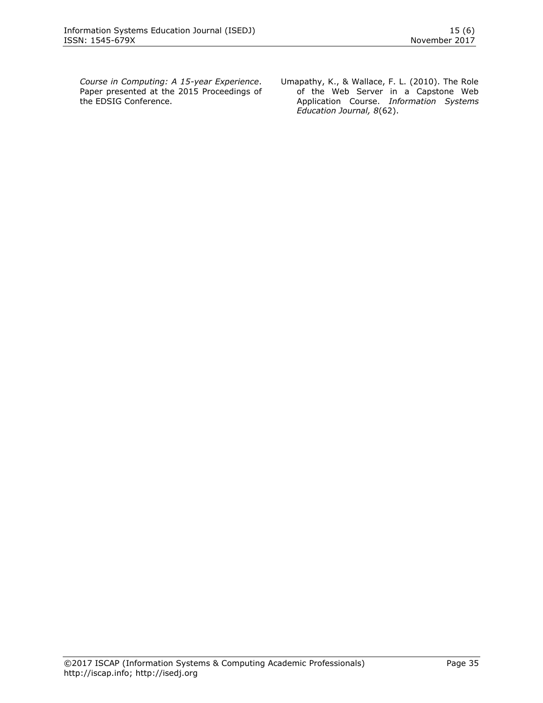*Course in Computing: A 15-year Experience*. Paper presented at the 2015 Proceedings of the EDSIG Conference.

<span id="page-8-0"></span>Umapathy, K., & Wallace, F. L. (2010). The Role of the Web Server in a Capstone Web Application Course. *Information Systems Education Journal, 8*(62).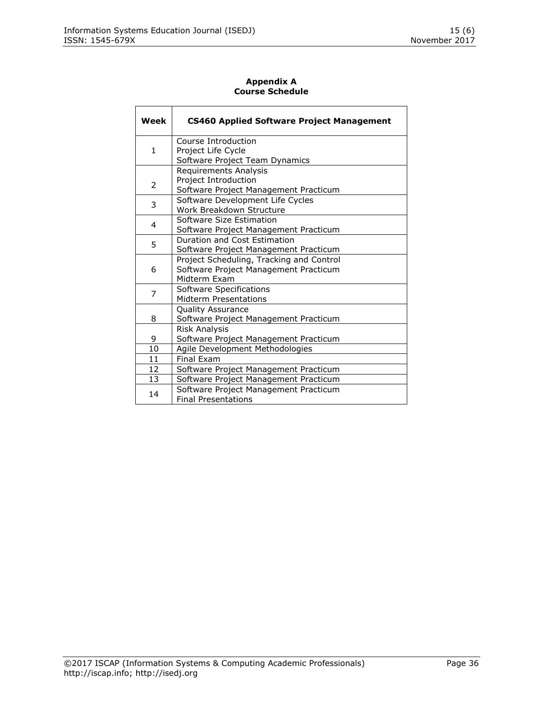## **Appendix A Course Schedule**

| Week | <b>CS460 Applied Software Project Management</b> |
|------|--------------------------------------------------|
| 1    | Course Introduction                              |
|      | Project Life Cycle                               |
|      | Software Project Team Dynamics                   |
| 2    | <b>Requirements Analysis</b>                     |
|      | Project Introduction                             |
|      | Software Project Management Practicum            |
| 3    | Software Development Life Cycles                 |
|      | Work Breakdown Structure                         |
| 4    | Software Size Estimation                         |
|      | Software Project Management Practicum            |
| 5    | Duration and Cost Estimation                     |
|      | Software Project Management Practicum            |
| 6    | Project Scheduling, Tracking and Control         |
|      | Software Project Management Practicum            |
|      | Midterm Exam                                     |
| 7    | Software Specifications                          |
|      | Midterm Presentations                            |
|      | <b>Quality Assurance</b>                         |
| 8    | Software Project Management Practicum            |
|      | <b>Risk Analysis</b>                             |
| 9    | Software Project Management Practicum            |
| 10   | Agile Development Methodologies                  |
| 11   | <b>Final Exam</b>                                |
| 12   | Software Project Management Practicum            |
| 13   | Software Project Management Practicum            |
| 14   | Software Project Management Practicum            |
|      | <b>Final Presentations</b>                       |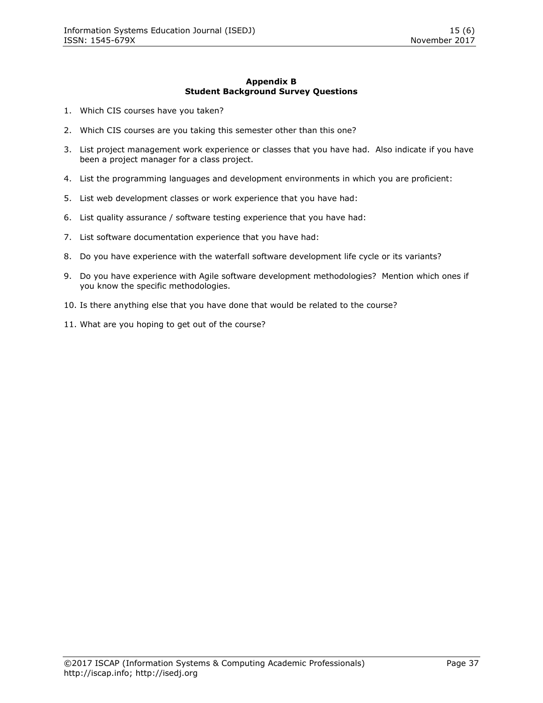#### **Appendix B Student Background Survey Questions**

- 1. Which CIS courses have you taken?
- 2. Which CIS courses are you taking this semester other than this one?
- 3. List project management work experience or classes that you have had. Also indicate if you have been a project manager for a class project.
- 4. List the programming languages and development environments in which you are proficient:
- 5. List web development classes or work experience that you have had:
- 6. List quality assurance / software testing experience that you have had:
- 7. List software documentation experience that you have had:
- 8. Do you have experience with the waterfall software development life cycle or its variants?
- 9. Do you have experience with Agile software development methodologies? Mention which ones if you know the specific methodologies.
- 10. Is there anything else that you have done that would be related to the course?
- 11. What are you hoping to get out of the course?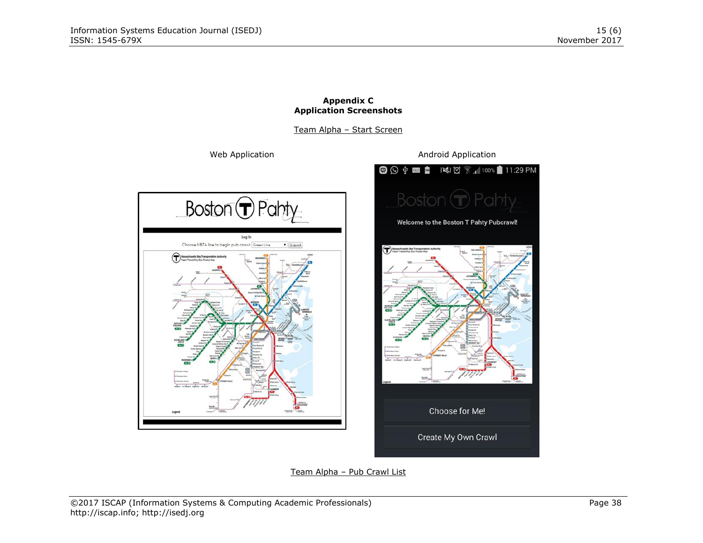

#### **Appendix C Application Screenshots**

Create My Own Crawl

Team Alpha – Pub Crawl List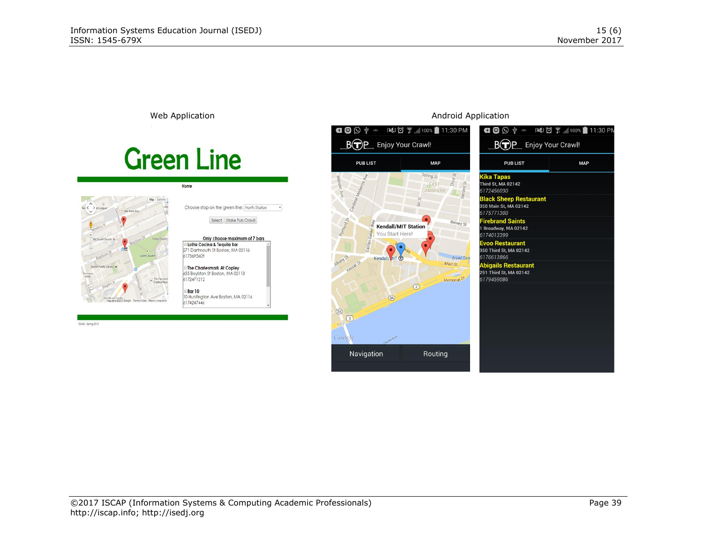

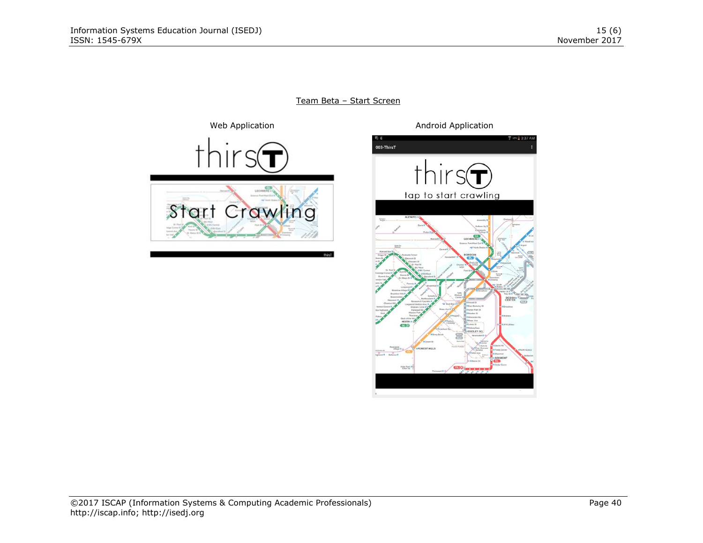**Z** 26% 图 3:37 AM

DESIGN

Team Beta – Start Screen



©2017 ISCAP (Information Systems & Computing Academic Professionals) Page 40 [http://iscap.info;](http://iscap.info/) http://isedj.org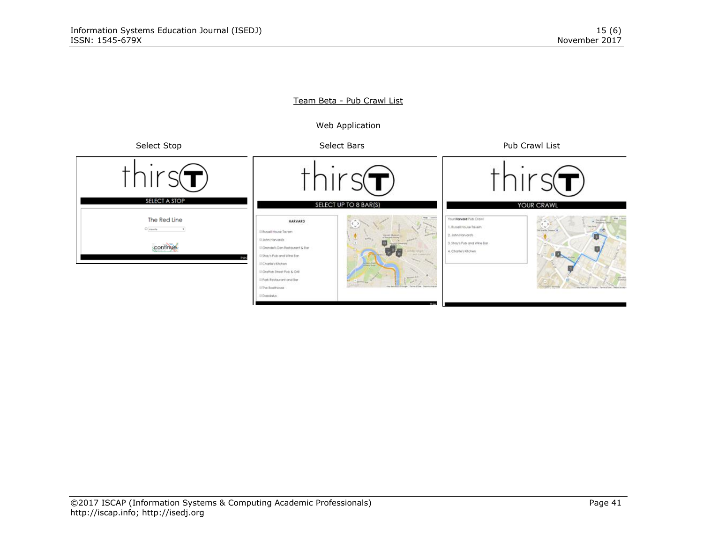## Team Beta - Pub Crawl List

Web Application

Select Stop Select Bars Select Bars Pub Crawl List